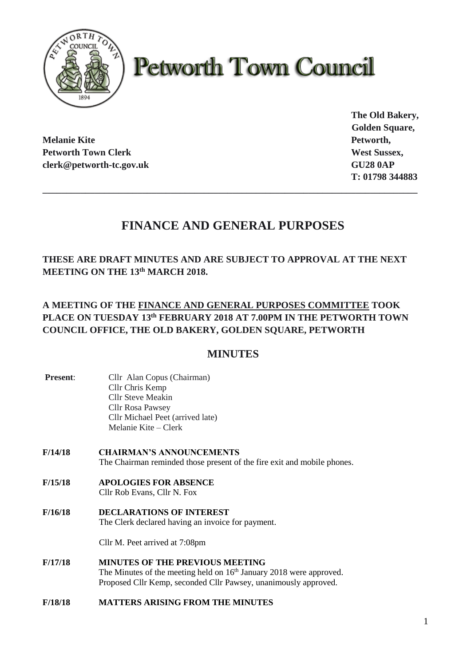

# **Petworth Town Council**

**Melanie Kite Petworth, Petworth Town Clerk West Sussex, West Sussex, West Sussex, West Sussex, West Sussex, West Sussex, West Sussex, West Sussex, West Sussex, West Sussex, West Sussex, West Sussex, West Sussex, West Sussex, West Sussex, West S clerk@petworth-tc.gov.uk GU28 0AP**

**The Old Bakery, Golden Square, T: 01798 344883**

## **FINANCE AND GENERAL PURPOSES**

**\_\_\_\_\_\_\_\_\_\_\_\_\_\_\_\_\_\_\_\_\_\_\_\_\_\_\_\_\_\_\_\_\_\_\_\_\_\_\_\_\_\_\_\_\_\_\_\_\_\_\_\_\_\_\_\_\_\_\_\_\_\_\_\_\_\_\_\_\_\_\_\_\_\_\_\_\_\_\_**

**THESE ARE DRAFT MINUTES AND ARE SUBJECT TO APPROVAL AT THE NEXT MEETING ON THE 13th MARCH 2018.**

**A MEETING OF THE FINANCE AND GENERAL PURPOSES COMMITTEE TOOK PLACE ON TUESDAY 13th FEBRUARY 2018 AT 7.00PM IN THE PETWORTH TOWN COUNCIL OFFICE, THE OLD BAKERY, GOLDEN SQUARE, PETWORTH**

### **MINUTES**

- **Present:** Cllr Alan Copus (Chairman) Cllr Chris Kemp Cllr Steve Meakin Cllr Rosa Pawsey Cllr Michael Peet (arrived late) Melanie Kite – Clerk
- **F/14/18 CHAIRMAN'S ANNOUNCEMENTS** The Chairman reminded those present of the fire exit and mobile phones.
- **F/15/18 APOLOGIES FOR ABSENCE** Cllr Rob Evans, Cllr N. Fox
- **F/16/18 DECLARATIONS OF INTEREST** The Clerk declared having an invoice for payment.

Cllr M. Peet arrived at 7:08pm

- **F/17/18 MINUTES OF THE PREVIOUS MEETING** The Minutes of the meeting held on  $16<sup>th</sup>$  January 2018 were approved. Proposed Cllr Kemp, seconded Cllr Pawsey, unanimously approved.
- **F/18/18 MATTERS ARISING FROM THE MINUTES**